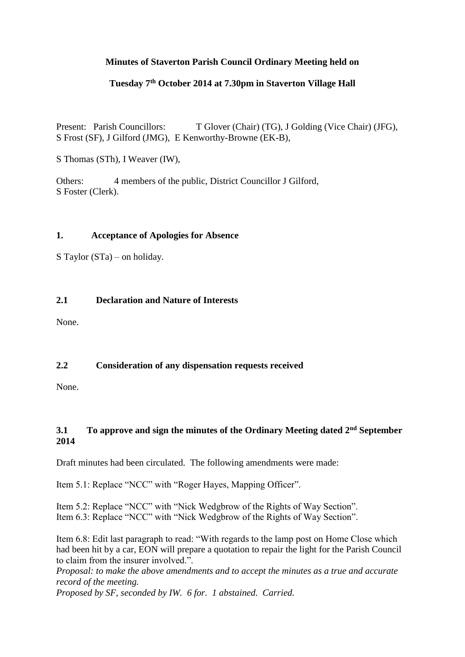# **Minutes of Staverton Parish Council Ordinary Meeting held on**

### **Tuesday 7th October 2014 at 7.30pm in Staverton Village Hall**

Present: Parish Councillors: T Glover (Chair) (TG), J Golding (Vice Chair) (JFG), S Frost (SF), J Gilford (JMG), E Kenworthy-Browne (EK-B),

S Thomas (STh), I Weaver (IW),

Others: 4 members of the public, District Councillor J Gilford, S Foster (Clerk).

#### **1. Acceptance of Apologies for Absence**

S Taylor (STa) – on holiday.

#### **2.1 Declaration and Nature of Interests**

None.

### **2.2 Consideration of any dispensation requests received**

None.

### **3.1 To approve and sign the minutes of the Ordinary Meeting dated 2nd September 2014**

Draft minutes had been circulated. The following amendments were made:

Item 5.1: Replace "NCC" with "Roger Hayes, Mapping Officer".

Item 5.2: Replace "NCC" with "Nick Wedgbrow of the Rights of Way Section". Item 6.3: Replace "NCC" with "Nick Wedgbrow of the Rights of Way Section".

Item 6.8: Edit last paragraph to read: "With regards to the lamp post on Home Close which had been hit by a car, EON will prepare a quotation to repair the light for the Parish Council to claim from the insurer involved.".

*Proposal: to make the above amendments and to accept the minutes as a true and accurate record of the meeting.*

*Proposed by SF, seconded by IW. 6 for. 1 abstained. Carried.*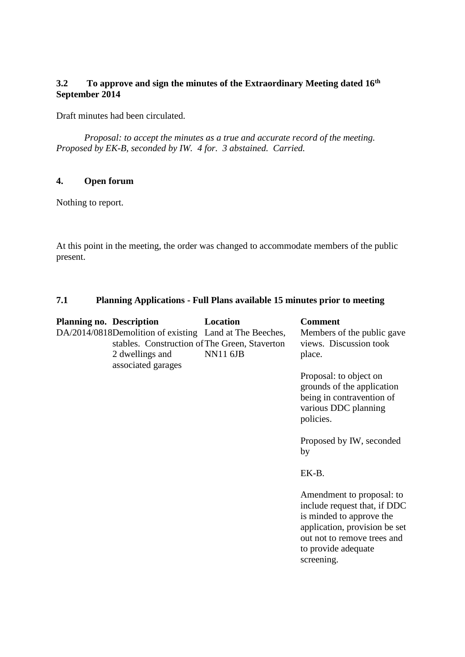# **3.2 To approve and sign the minutes of the Extraordinary Meeting dated 16th September 2014**

Draft minutes had been circulated.

 *Proposal: to accept the minutes as a true and accurate record of the meeting. Proposed by EK-B, seconded by IW. 4 for. 3 abstained. Carried.*

## **4. Open forum**

Nothing to report.

At this point in the meeting, the order was changed to accommodate members of the public present.

#### **7.1 Planning Applications - Full Plans available 15 minutes prior to meeting**

| <b>Planning no. Description</b> |                                                                                                                             | Location        | <b>Comment</b>                                                                                                                                                                             |
|---------------------------------|-----------------------------------------------------------------------------------------------------------------------------|-----------------|--------------------------------------------------------------------------------------------------------------------------------------------------------------------------------------------|
|                                 | DA/2014/0818Demolition of existing Land at The Beeches,<br>stables. Construction of The Green, Staverton<br>2 dwellings and | <b>NN11 6JB</b> | Members of the public gave<br>views. Discussion took<br>place.                                                                                                                             |
|                                 | associated garages                                                                                                          |                 | Proposal: to object on<br>grounds of the application<br>being in contravention of<br>various DDC planning<br>policies.<br>Proposed by IW, seconded<br>by<br>EK-B.                          |
|                                 |                                                                                                                             |                 | Amendment to proposal: to<br>include request that, if DDC<br>is minded to approve the<br>application, provision be set<br>out not to remove trees and<br>to provide adequate<br>screening. |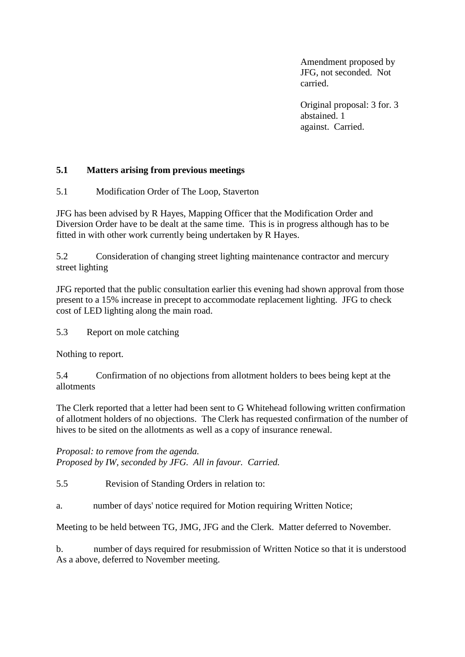Amendment proposed by JFG, not seconded. Not carried.

Original proposal: 3 for. 3 abstained. 1 against. Carried.

### **5.1 Matters arising from previous meetings**

5.1 Modification Order of The Loop, Staverton

JFG has been advised by R Hayes, Mapping Officer that the Modification Order and Diversion Order have to be dealt at the same time. This is in progress although has to be fitted in with other work currently being undertaken by R Hayes.

5.2 Consideration of changing street lighting maintenance contractor and mercury street lighting

JFG reported that the public consultation earlier this evening had shown approval from those present to a 15% increase in precept to accommodate replacement lighting. JFG to check cost of LED lighting along the main road.

5.3 Report on mole catching

Nothing to report.

5.4 Confirmation of no objections from allotment holders to bees being kept at the allotments

The Clerk reported that a letter had been sent to G Whitehead following written confirmation of allotment holders of no objections. The Clerk has requested confirmation of the number of hives to be sited on the allotments as well as a copy of insurance renewal.

*Proposal: to remove from the agenda. Proposed by IW, seconded by JFG. All in favour. Carried.*

5.5 Revision of Standing Orders in relation to:

a. number of days' notice required for Motion requiring Written Notice;

Meeting to be held between TG, JMG, JFG and the Clerk. Matter deferred to November.

b. number of days required for resubmission of Written Notice so that it is understood As a above, deferred to November meeting.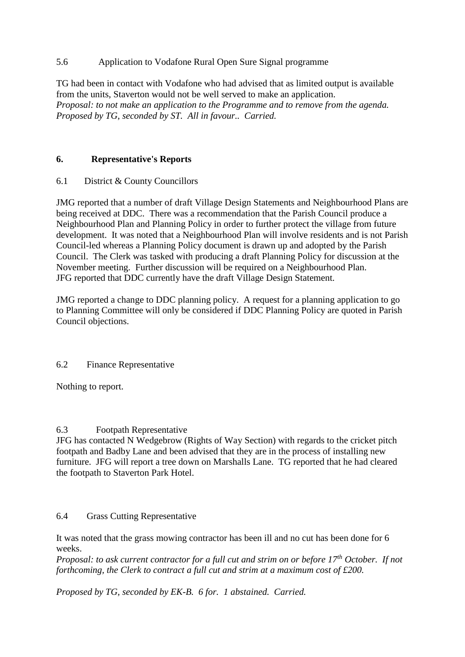## 5.6 Application to Vodafone Rural Open Sure Signal programme

TG had been in contact with Vodafone who had advised that as limited output is available from the units, Staverton would not be well served to make an application. *Proposal: to not make an application to the Programme and to remove from the agenda. Proposed by TG, seconded by ST. All in favour.. Carried.*

# **6. Representative's Reports**

### 6.1 District & County Councillors

JMG reported that a number of draft Village Design Statements and Neighbourhood Plans are being received at DDC. There was a recommendation that the Parish Council produce a Neighbourhood Plan and Planning Policy in order to further protect the village from future development. It was noted that a Neighbourhood Plan will involve residents and is not Parish Council-led whereas a Planning Policy document is drawn up and adopted by the Parish Council. The Clerk was tasked with producing a draft Planning Policy for discussion at the November meeting. Further discussion will be required on a Neighbourhood Plan. JFG reported that DDC currently have the draft Village Design Statement.

JMG reported a change to DDC planning policy. A request for a planning application to go to Planning Committee will only be considered if DDC Planning Policy are quoted in Parish Council objections.

### 6.2 Finance Representative

Nothing to report.

### 6.3 Footpath Representative

JFG has contacted N Wedgebrow (Rights of Way Section) with regards to the cricket pitch footpath and Badby Lane and been advised that they are in the process of installing new furniture. JFG will report a tree down on Marshalls Lane. TG reported that he had cleared the footpath to Staverton Park Hotel.

### 6.4 Grass Cutting Representative

It was noted that the grass mowing contractor has been ill and no cut has been done for 6 weeks.

*Proposal: to ask current contractor for a full cut and strim on or before 17th October. If not forthcoming, the Clerk to contract a full cut and strim at a maximum cost of £200.*

*Proposed by TG, seconded by EK-B. 6 for. 1 abstained. Carried.*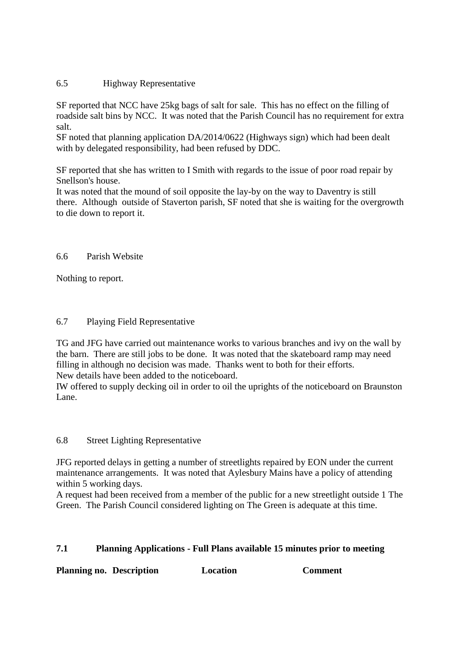#### 6.5 Highway Representative

SF reported that NCC have 25kg bags of salt for sale. This has no effect on the filling of roadside salt bins by NCC. It was noted that the Parish Council has no requirement for extra salt.

SF noted that planning application DA/2014/0622 (Highways sign) which had been dealt with by delegated responsibility, had been refused by DDC.

SF reported that she has written to I Smith with regards to the issue of poor road repair by Snellson's house.

It was noted that the mound of soil opposite the lay-by on the way to Daventry is still there. Although outside of Staverton parish, SF noted that she is waiting for the overgrowth to die down to report it.

#### 6.6 Parish Website

Nothing to report.

#### 6.7 Playing Field Representative

TG and JFG have carried out maintenance works to various branches and ivy on the wall by the barn. There are still jobs to be done. It was noted that the skateboard ramp may need filling in although no decision was made. Thanks went to both for their efforts. New details have been added to the noticeboard.

IW offered to supply decking oil in order to oil the uprights of the noticeboard on Braunston Lane.

#### 6.8 Street Lighting Representative

JFG reported delays in getting a number of streetlights repaired by EON under the current maintenance arrangements. It was noted that Aylesbury Mains have a policy of attending within 5 working days.

A request had been received from a member of the public for a new streetlight outside 1 The Green. The Parish Council considered lighting on The Green is adequate at this time.

### **7.1 Planning Applications - Full Plans available 15 minutes prior to meeting**

**Planning no. Description Location Comment**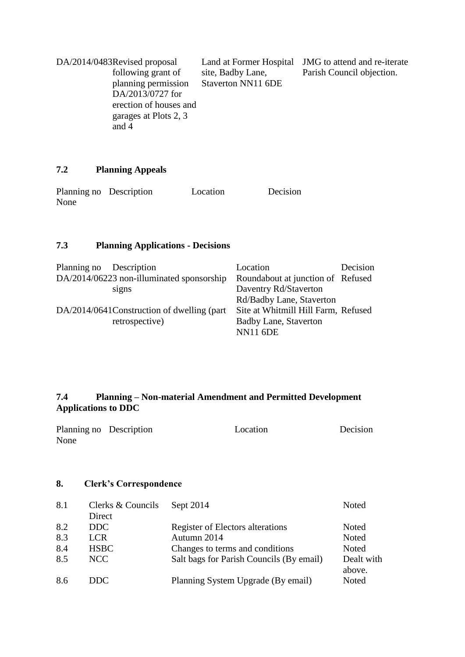| DA/2014/0483Revised proposal |                    | Land at Former Hospital JMG to attend and re-iterate |
|------------------------------|--------------------|------------------------------------------------------|
| following grant of           | site, Badby Lane,  | Parish Council objection.                            |
| planning permission          | Staverton NN11 6DE |                                                      |
| DA/2013/0727 for             |                    |                                                      |
| erection of houses and       |                    |                                                      |
| garages at Plots 2, 3        |                    |                                                      |
| and 4                        |                    |                                                      |

# **7.2 Planning Appeals**

| Planning no Description | Location | Decision |
|-------------------------|----------|----------|
| None                    |          |          |

# **7.3 Planning Applications - Decisions**

| Planning no Description                     | Location                            | Decision |
|---------------------------------------------|-------------------------------------|----------|
| DA/2014/06223 non-illuminated sponsorship   | Roundabout at junction of Refused   |          |
| signs                                       | Daventry Rd/Staverton               |          |
|                                             | Rd/Badby Lane, Staverton            |          |
| DA/2014/0641Construction of dwelling (part) | Site at Whitmill Hill Farm, Refused |          |
| retrospective)                              | <b>Badby Lane, Staverton</b>        |          |
|                                             | <b>NN11 6DE</b>                     |          |

# **7.4 Planning – Non-material Amendment and Permitted Development Applications to DDC**

| Planning no Description | Location | Decision |
|-------------------------|----------|----------|
| None                    |          |          |

# **8. Clerk's Correspondence**

| 8.1 | Clerks & Councils | Sept 2014                                | Noted                |
|-----|-------------------|------------------------------------------|----------------------|
|     | Direct            |                                          |                      |
| 8.2 | DDC.              | Register of Electors alterations         | Noted                |
| 8.3 | <b>LCR</b>        | Autumn 2014                              | Noted                |
| 8.4 | <b>HSBC</b>       | Changes to terms and conditions          | Noted                |
| 8.5 | NCC               | Salt bags for Parish Councils (By email) | Dealt with<br>above. |
| 8.6 | DDC.              | Planning System Upgrade (By email)       | Noted                |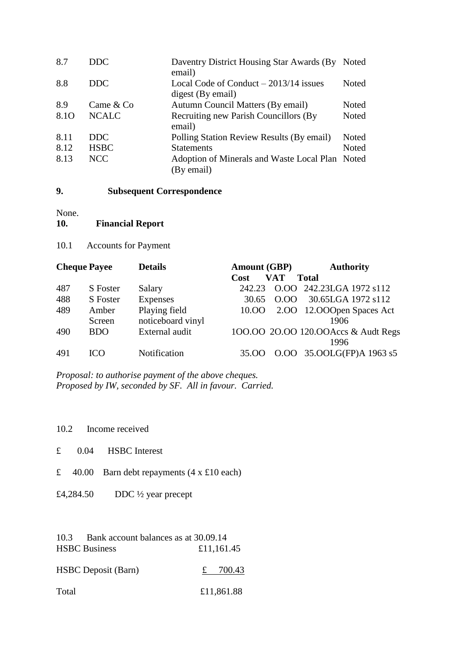| 8.7  | DDC.         | Daventry District Housing Star Awards (By<br>email)           | Noted |
|------|--------------|---------------------------------------------------------------|-------|
| 8.8  | <b>DDC</b>   | Local Code of Conduct $-2013/14$ issues<br>digest (By email)  | Noted |
| 8.9  | Came & Co    | Autumn Council Matters (By email)                             | Noted |
| 8.10 | <b>NCALC</b> | <b>Recruiting new Parish Councillors (By</b><br>email)        | Noted |
| 8.11 | DDC.         | Polling Station Review Results (By email)                     | Noted |
| 8.12 | <b>HSBC</b>  | <b>Statements</b>                                             | Noted |
| 8.13 | NCC          | Adoption of Minerals and Waste Local Plan Noted<br>(By email) |       |

#### **9. Subsequent Correspondence**

None.

| 10. | <b>Financial Report</b> |
|-----|-------------------------|
|-----|-------------------------|

10.1 Accounts for Payment

| <b>Cheque Payee</b> |            | <b>Details</b>    | <b>Amount (GBP)</b> |            | <b>Authority</b>                     |  |
|---------------------|------------|-------------------|---------------------|------------|--------------------------------------|--|
|                     |            |                   | Cost                | <b>VAT</b> | <b>Total</b>                         |  |
| 487                 | S Foster   | Salary            | 242.23              |            | O.OO 242.23LGA 1972 s112             |  |
| 488                 | S Foster   | <b>Expenses</b>   | 30.65               | 0.00       | 30.65LGA 1972 s112                   |  |
| 489                 | Amber      | Playing field     | 10.OO               |            | 2.00 12.000 pen Spaces Act           |  |
|                     | Screen     | noticeboard vinyl |                     |            | 1906                                 |  |
| 490                 | <b>BDO</b> | External audit    |                     |            | 100.00 20.00 120.00 Accs & Audt Regs |  |
|                     |            |                   |                     |            | 1996                                 |  |
| 491                 | ഥറ         | Notification      | 35.OO               |            | O.OO 35.OOLG(FP)A 1963 s5            |  |

*Proposal: to authorise payment of the above cheques. Proposed by IW, seconded by SF. All in favour. Carried.*

10.2 Income received

- £ 0.04 HSBC Interest
- £ 40.00 Barn debt repayments  $(4 \times £10 \text{ each})$
- £4,284.50 DDC ½ year precept

| 10.3 | Bank account balances as at 30.09.14 |            |
|------|--------------------------------------|------------|
|      | <b>HSBC Business</b>                 | £11,161.45 |

HSBC Deposit (Barn)  $\frac{2}{x}$  700.43

Total £11,861.88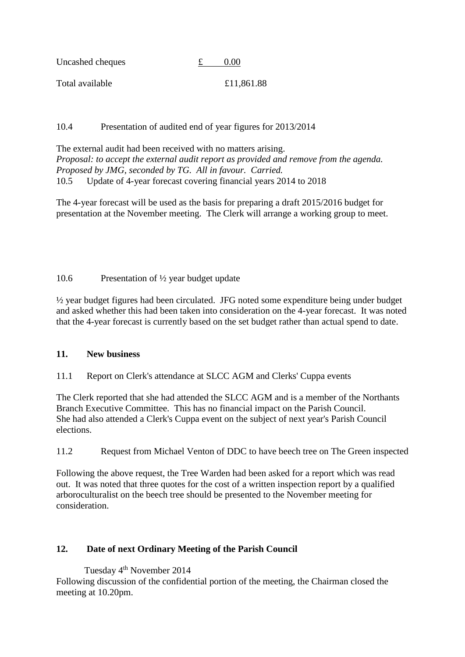| Uncashed cheques | 0.00       |
|------------------|------------|
| Total available  | £11,861.88 |

### 10.4 Presentation of audited end of year figures for 2013/2014

The external audit had been received with no matters arising. *Proposal: to accept the external audit report as provided and remove from the agenda. Proposed by JMG, seconded by TG. All in favour. Carried.* 10.5 Update of 4-year forecast covering financial years 2014 to 2018

The 4-year forecast will be used as the basis for preparing a draft 2015/2016 budget for presentation at the November meeting. The Clerk will arrange a working group to meet.

# 10.6 Presentation of ½ year budget update

½ year budget figures had been circulated. JFG noted some expenditure being under budget and asked whether this had been taken into consideration on the 4-year forecast. It was noted that the 4-year forecast is currently based on the set budget rather than actual spend to date.

### **11. New business**

11.1 Report on Clerk's attendance at SLCC AGM and Clerks' Cuppa events

The Clerk reported that she had attended the SLCC AGM and is a member of the Northants Branch Executive Committee. This has no financial impact on the Parish Council. She had also attended a Clerk's Cuppa event on the subject of next year's Parish Council elections.

11.2 Request from Michael Venton of DDC to have beech tree on The Green inspected

Following the above request, the Tree Warden had been asked for a report which was read out. It was noted that three quotes for the cost of a written inspection report by a qualified arboroculturalist on the beech tree should be presented to the November meeting for consideration.

# **12. Date of next Ordinary Meeting of the Parish Council**

Tuesday 4th November 2014 Following discussion of the confidential portion of the meeting, the Chairman closed the meeting at 10.20pm.